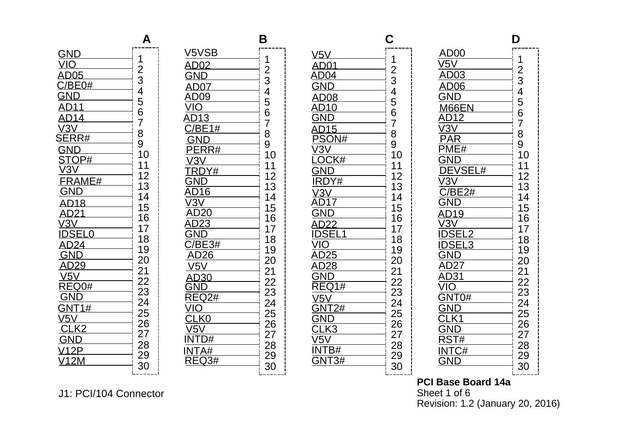|                                                     | д                               |
|-----------------------------------------------------|---------------------------------|
| <u>GND_</u>                                         |                                 |
| $V$ IO $-$                                          | 1<br>I                          |
| AD05                                                |                                 |
| C/E                                                 |                                 |
|                                                     |                                 |
| <u>AD11________</u>                                 | 234567                          |
| AD14                                                |                                 |
| V3V                                                 |                                 |
| रे $\overline{\mathsf{R}\mathsf{H}}$                | .<br>8<br>10                    |
|                                                     |                                 |
| GND<br>STOP#<br>V3V<br>FR11                         | <br> <br> <br> <br> <br> <br>11 |
|                                                     |                                 |
| <b>RAME#</b>                                        | $\frac{12}{13}$<br>14           |
| GND                                                 |                                 |
| $\overline{A}$<br>$\begin{array}{c} 18 \end{array}$ | 15                              |
| AD21                                                | 16                              |
| V3V l                                               | 17                              |
| <b>DSEL0</b>                                        | 18                              |
| 224<br>GN                                           | 19                              |
| $\overline{D}$                                      | 20                              |
| V5V                                                 | 21                              |
| $\overline{\text{REQ0#}}$                           | 22                              |
| GND_____                                            | ון<br>וו<br>23                  |
| T1 <u>#_________</u>                                | $2\overline{4}$                 |
| V5V                                                 | 25                              |
| $\overline{K2}$                                     | 26                              |
| $\supset$                                           | 27                              |
| 2P —                                                | 28                              |
| 2M                                                  | 29                              |
|                                                     | 30                              |

**A**

|                          | B                    |
|--------------------------|----------------------|
| V5VSB                    |                      |
| <b>AD02</b>              | 123456789            |
| Gľ                       |                      |
| 07                       |                      |
| AI                       |                      |
| AI<br>3                  |                      |
| $\frac{1}{1}$            |                      |
|                          |                      |
| $\overline{RR#}$         |                      |
|                          | 10                   |
| OY#                      | 11<br>12             |
| )<br>)                   |                      |
| 16                       | $\frac{1}{13}$       |
| $\overline{J}$           |                      |
| $\overline{20}$          | 15<br>16             |
| $\frac{23}{ }$           | 17                   |
| $\overline{34}$          | 18                   |
| 26 —                     | 19                   |
|                          | 20                   |
| 30                       | 21                   |
|                          | 22<br>22<br>23<br>24 |
| $\overline{\text{Q2}}$ # |                      |
|                          | $\frac{25}{25}$      |
| K0                       | 26                   |
| )#                       | __<br>27<br>28       |
| A#                       |                      |
| 3#                       | 29                   |
|                          | 30<br>ı              |

| AD01_________                       |                                          |
|-------------------------------------|------------------------------------------|
|                                     |                                          |
|                                     |                                          |
| $\frac{1}{8}$                       |                                          |
| $0-$                                | 123456789                                |
| $\frac{5}{5}$                       |                                          |
| <u>5</u><br>)N#                     |                                          |
| $\overline{3}$                      |                                          |
| <u>)CK#</u>                         | 10                                       |
|                                     | 11                                       |
| —<br>Y <u>#</u>                     | 12                                       |
|                                     | 13<br>14                                 |
|                                     | ļ<br>15                                  |
|                                     | 16                                       |
|                                     | 17                                       |
|                                     | 18                                       |
|                                     | ļ<br>19                                  |
| AD28                                | 20                                       |
| GN                                  | 21                                       |
| $\bar{\mathsf{R}}$<br>$\sqrt{31\#}$ |                                          |
| /5V                                 |                                          |
| $\frac{2\#}{\ }$                    |                                          |
|                                     |                                          |
| K3.                                 | 1223452222222                            |
| $\sqrt{5}$                          | 28                                       |
| 3#                                  | 29                                       |
| 3#                                  | <br> <br> <br> <br> <br> <br><br> <br>30 |
|                                     |                                          |

| AD00                       |                                                           |
|----------------------------|-----------------------------------------------------------|
|                            |                                                           |
| $\overline{3}$             |                                                           |
| 06                         |                                                           |
|                            |                                                           |
| 66EN ___                   |                                                           |
| 2 <sup>1</sup>             |                                                           |
|                            |                                                           |
| $\frac{1}{H}$              | $\begin{array}{c}\n 1 \\ 234567890\n \\ 14\n \end{array}$ |
|                            |                                                           |
| $\overline{\text{eVSELH}}$ | İ<br>11                                                   |
| /3                         | İ                                                         |
| $\overline{E}2\#$          | 12<br>13<br>14<br>l                                       |
|                            |                                                           |
| $19 -$                     | 15<br>16                                                  |
| /3                         | 17                                                        |
|                            |                                                           |
| 3<br>ΞL                    | 18<br>19<br>ļ                                             |
| $7\overline{)}$            |                                                           |
|                            | 20<br>21<br>22<br>23                                      |
|                            | Į                                                         |
| $\overline{0}$             |                                                           |
|                            | <br> <br> <br>                                            |
|                            | -<br>24<br>25<br>26                                       |
|                            | –<br>27                                                   |
| $\overline{\#}$            |                                                           |
| C#                         | 28<br>29                                                  |
|                            | ׀׀ׇ׀׀׀׀<br>        <br>30                                 |
|                            |                                                           |

**PCI Base Board 14a** Sheet 1 of 6 Revision: 1.2 (January 20, 2016)

## J1: PCI/104 Connector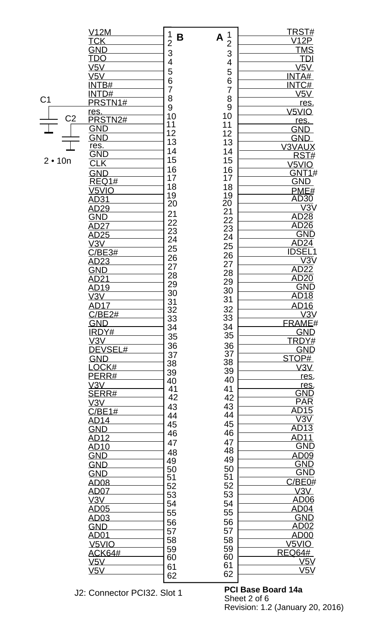|                | <u>V12M</u>             | 1<br>B                                  | 1                          | <u>TRST#</u>            |
|----------------|-------------------------|-----------------------------------------|----------------------------|-------------------------|
|                | <u>TCK</u>              | $\overline{2}$                          | A<br>$\overline{2}$        | V12P                    |
|                | <u>GND</u>              | 3                                       | 3                          | <b>TMS</b>              |
|                | <u>TDO</u>              | 4                                       | $\overline{\mathcal{A}}$   | <u>TDI</u>              |
|                | V5V                     | 5                                       | 5                          | V5V                     |
|                | $\overline{\text{V5V}}$ | 6                                       |                            | INTA#                   |
|                | <b>INTB#</b>            | $\overline{7}$                          | 6<br>$\overline{7}$        | INTC#                   |
|                | INTD#                   |                                         |                            | V5V                     |
| C <sub>1</sub> | PRSTN1#                 | 8                                       | 8                          | res.                    |
|                | <u>res.</u>             | 9                                       | 9                          | V <sub>5</sub> VIO      |
| C <sub>2</sub> | PRSTN2#                 | 10                                      | 10                         | res.                    |
|                | <b>GND</b>              | 11                                      | 11                         | <b>GND</b>              |
|                | <b>GND</b>              | $\begin{array}{c} 12 \\ 13 \end{array}$ | 12                         | <b>GND</b>              |
|                | res.                    |                                         | 13                         | <b>V3VAUX</b>           |
|                | GND                     | 14                                      | 14                         | RST#                    |
| $2 \cdot 10n$  | $C\Gamma K$             | 15                                      | 15                         | V5VIO                   |
|                | <b>GND</b>              | 16<br>17                                | 16                         |                         |
|                | <b>REQ1#</b>            |                                         | 17                         | GNT1#<br>GND            |
|                | V <sub>5VIO</sub>       | 18                                      | 18                         |                         |
|                | AD31                    | 19                                      |                            | PME#<br>AD30            |
|                | <u>AD29</u>             | 20                                      |                            | $\overline{\vee 3}$ V   |
|                | <b>GND</b>              | 21                                      |                            |                         |
|                |                         |                                         |                            | AD28<br>AD26            |
|                | AD27                    | 22<br>23                                | 19<br>20<br>22<br>23<br>24 |                         |
|                | AD25                    | 24                                      |                            | <b>GND</b>              |
|                | V3V                     | 25                                      | 25                         | AD <sub>24</sub>        |
|                | C/BE3#                  | 26                                      | 26<br>27                   | <b>IDSEL1</b>           |
|                | <u>AD23</u>             | 27                                      |                            | $\overline{\text{V3V}}$ |
|                | <u>GND</u>              | 28                                      | 28                         | AD <sub>22</sub>        |
|                | <u>AD21</u>             | 29                                      | 29                         | <b>AD20</b>             |
|                | <u>AD19</u>             | 30                                      | 30                         | GND                     |
|                | V3V                     |                                         | 31                         | <b>AD18</b>             |
|                | AD17                    | 31<br>32                                | 32                         | AD16                    |
|                | C/BE2#                  | 33                                      | 33                         | V3V                     |
|                | <b>GND</b>              | 34                                      | 34                         | <b>FRAME#</b>           |
|                | <b>IRDY#</b>            |                                         | 35                         | <b>GND</b>              |
|                | V3V                     | 35                                      |                            | TRDY#                   |
|                | DEVSEL#                 | 36                                      | 36                         | <b>GND</b>              |
|                | <b>GND</b>              | 37                                      | 37                         | STOP#                   |
|                | LOCK#                   | 38                                      | 38                         | V3V                     |
|                | PERR#                   | 39                                      | 39                         | res.                    |
|                | V3V                     | 40                                      | 40                         | res.                    |
|                | <b>SERR#</b>            | 41                                      | 41                         | <b>GND</b><br>PAR       |
|                | V3V                     | 42                                      | 42                         |                         |
|                | C/BE1#                  | 43                                      | 43                         | AD15                    |
|                | <u>AD14</u>             | 44                                      | 44                         | $\overline{\text{V3V}}$ |
|                | <b>GND</b>              | 45                                      | 45                         | AD13                    |
|                | AD12                    | 46                                      | 46                         | <u>AD11</u>             |
|                | <u>AD10</u>             | 47                                      | 47                         | <b>GND</b>              |
|                | <u>GND</u>              | 48                                      | 48                         | AD09                    |
|                | <b>GND</b>              | 49                                      | 49                         | <b>GND</b>              |
|                |                         | 50                                      | 50                         | <b>GND</b>              |
|                | <b>GND</b>              | 51                                      | 51                         | C/BE0#                  |
|                | <b>AD08</b>             | 52                                      | 52                         |                         |
|                | <u>AD07</u>             | 53                                      | 53                         | V3V                     |
|                | V3V                     | 54                                      | 54                         | AD <sub>06</sub>        |
|                | <b>AD05</b>             | 55                                      | 55                         | AD04                    |
|                | AD03                    | 56                                      | 56                         | <b>GND</b>              |
|                | <u>GND</u>              | 57                                      | 57                         | AD02                    |
|                | <u>AD01</u>             | 58                                      | 58                         | <b>AD00</b>             |
|                | V <sub>5VIO</sub>       | 59                                      | 59                         | V <sub>5</sub> VIO      |
|                | <b>ACK64#</b>           | 60                                      | 60                         | <b>REQ64#</b>           |
|                | V5V                     | 61                                      | 61                         | V5V                     |
|                | V5V                     | 62                                      | 62                         | V5V                     |
|                |                         |                                         |                            |                         |

J2: Connector PCI32. Slot 1

**PCI Base Board 14a** Sheet 2 of 6 Revision: 1.2 (January 20, 2016)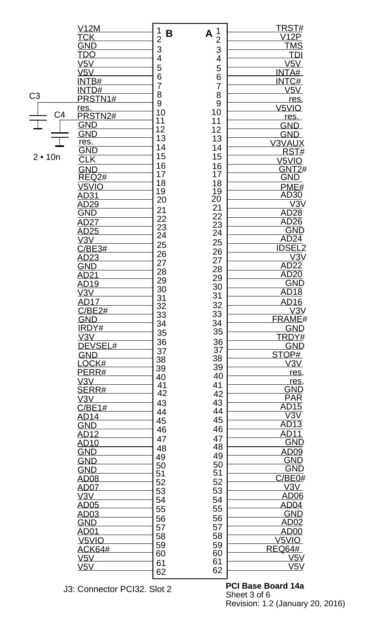|                | <u>V12M</u>               | 1                   | 1                    | TRST#                   |
|----------------|---------------------------|---------------------|----------------------|-------------------------|
|                | <u>TCK</u>                | B<br>$\overline{2}$ | A<br>$\overline{2}$  | <u>V12P</u>             |
|                | <u>GND</u>                | 3                   |                      | <u>TMS</u>              |
|                | TDO                       |                     | 3                    | <b>TDI</b>              |
|                | V5V                       | 4                   | 4                    | V5V                     |
|                | V5V                       | 5                   | 5                    | INTA#                   |
|                | <b>INTB#</b>              | 6                   | 6                    | INTC#                   |
|                | INTD#                     | $\overline{7}$      | $\overline{7}$       | V5V                     |
| C <sub>3</sub> | PRSTN1#                   | 8                   | 8                    | res.                    |
|                | res.                      | 9                   | 9                    | V <sub>5</sub> VIO      |
| C <sub>4</sub> | PRSTN2#                   | 10                  | 10                   | res.                    |
|                | <u>GND</u>                | 11                  | 11                   | <b>GND</b>              |
|                | <b>GND</b>                | 12<br>13            | 12                   | <u>GND</u>              |
|                | res.                      |                     | 13                   | V3VAUX                  |
|                | $\overline{\textsf{GND}}$ | 14                  | 14                   | RST#                    |
| $2 \cdot 10n$  | SLK                       | 15                  | 15                   | V5VIO                   |
|                | <b>GND</b>                | 16<br>17            | 16                   | <b>GNT2#</b>            |
|                | REQ <sub>2#</sub>         | 18                  | 17                   | GND                     |
|                | V <sub>5</sub> VIO        | 19                  | 18                   | PME#                    |
|                | <u>AD31</u>               | 20                  | $\frac{19}{20}$      | AD30                    |
|                | <u>AD29</u>               |                     |                      | $\overline{\text{V3V}}$ |
|                | GND                       | 21                  | 21<br>22<br>23<br>24 | AD28                    |
|                | <u>AD27</u>               | -<br>22<br>23<br>24 |                      | <b>AD26</b>             |
|                | AD25                      |                     |                      | <b>GND</b>              |
|                | V3V                       | 25                  | 25                   | AD <sub>24</sub>        |
|                | C/BE3#                    | 26                  | 26                   | <b>IDSEL2</b>           |
|                | AD23                      | 27                  | 27                   | $\overline{\text{V3V}}$ |
|                | <b>GND</b>                | 28                  | 28                   | AD22                    |
|                | <u>AD21</u>               | 29                  | 29                   | AD20                    |
|                | AD19                      | 30                  | 30                   | GND                     |
|                | $\sqrt{3V}$               | 31                  | 31                   | AD <sub>18</sub>        |
|                | <b>AD17</b>               | 32                  | 32                   | AD <sub>16</sub>        |
|                | C/BE2#                    | 33                  | 33                   | V3V                     |
|                | <b>GND</b>                | 34                  | 34                   | <b>FRAME#</b>           |
|                | IRDY#                     | 35                  | 35                   | <b>GND</b>              |
|                | V3V                       | 36                  | 36                   | TRDY#                   |
|                | DEVSEL#                   | 37                  | $\overline{37}$      | <u>GND</u>              |
|                | <b>GND</b>                | 38                  | 38                   | STOP#                   |
|                | LOCK#                     | 39                  | 39                   | V3V                     |
|                | PERR#<br>V3V              | 40                  | 40                   | res.                    |
|                | <u>SERR#</u>              | 41                  | 41                   | res.<br>GND             |
|                | <u>V3V</u>                | 42                  | 42                   | <b>PAR</b>              |
|                | C/BE1#                    | 43                  | 43                   | <b>AD15</b>             |
|                | <u>AD14</u>               | 44                  | 44                   | $\overline{\text{V3V}}$ |
|                | <b>GND</b>                | 45                  | 45                   | <b>AD13</b>             |
|                | <b>AD12</b>               | 46                  | 46                   | <b>AD11</b>             |
|                | <b>AD10</b>               | 47                  | 47                   | <b>GND</b>              |
|                | <b>GND</b>                | 48                  | 48                   | AD09                    |
|                | <b>GND</b>                | 49                  | 49                   | <u>GND</u>              |
|                | <b>GND</b>                | 50                  | 50                   | <b>GND</b>              |
|                | <b>AD08</b>               | 51                  | 51                   | C/BE0#                  |
|                | <u>AD07</u>               | 52                  | 52                   | V3V                     |
|                | V3V                       | 53                  | 53                   | AD <sub>06</sub>        |
|                | <b>AD05</b>               | 54                  | 54                   | AD04                    |
|                | AD03                      | 55                  | 55                   | <b>GND</b>              |
|                | <b>GND</b>                | 56                  | 56                   | AD02                    |
|                | <b>AD01</b>               | 57                  | 57                   | AD00                    |
|                | V <sub>5</sub> VIO        | 58                  | 58                   | V5VIO                   |
|                | ACK64#                    | 59                  | 59                   | <b>REQ64#</b>           |
|                | V5V                       | 60                  | 60                   | <u>V5V</u>              |
|                | V5V                       | 61                  | 61                   | V5V                     |
|                |                           | 62                  | 62                   |                         |
|                |                           |                     |                      |                         |

J3: Connector PCI32. Slot 2

**PCI Base Board 14a** Sheet 3 of 6 Revision: 1.2 (January 20, 2016)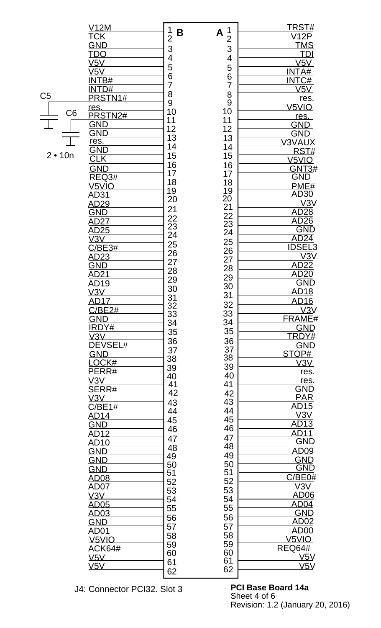|                | <u>V12M</u>       | 1                   | 1                           | <u>TRST#</u>                                        |
|----------------|-------------------|---------------------|-----------------------------|-----------------------------------------------------|
|                | <b>TCK</b>        | B<br>$\overline{2}$ | A                           | <b>V12P</b>                                         |
|                | GND               |                     | $\overline{2}$              | <b>TMS</b>                                          |
|                | <u>TDO</u>        | 3                   | 3                           | TDI                                                 |
|                |                   | 4                   | 4                           |                                                     |
|                | V5V               | 5                   | 5                           | V5V                                                 |
|                | V5V               | 6                   | 6                           | INTA#                                               |
|                | <b>INTB#</b>      | $\overline{7}$      |                             | INTC#                                               |
|                | <b>INTD#</b>      |                     | $\overline{7}$              | V5V                                                 |
| C <sub>5</sub> | PRSTN1#           | 8                   | 8                           | res.                                                |
|                |                   | 9                   | 9                           | V <sub>5VIO</sub>                                   |
| C <sub>6</sub> | res.              | 10                  | 10                          |                                                     |
|                | PRSTN2#           | 11                  | 11                          | res.                                                |
|                | <b>GND</b>        | 12                  | 12                          | <b>GND</b>                                          |
|                | <b>GND</b>        | 13                  |                             | <b>GND</b>                                          |
|                | res.              |                     | 13                          | <b>V3VAUX</b>                                       |
|                | GND               | 14                  | 14                          | RST#                                                |
| $2 \cdot 10n$  | $C\Gamma K$       | 15                  | 15                          | V <sub>5</sub> VIO                                  |
|                |                   | 16<br>17            | 16                          |                                                     |
|                | <b>GND</b>        |                     | 17                          | <b>GNT3#</b>                                        |
|                | <b>REQ3#</b>      |                     | 18                          | <b>GND</b>                                          |
|                | V <sub>5VIO</sub> | $\frac{18}{1}$      |                             | PME#                                                |
|                | <u>AD31</u>       | 19                  |                             | AD30                                                |
|                | <u>AD29</u>       | 20                  |                             | $\overline{\text{V3V}}$                             |
|                | GND               |                     | $\frac{19}{20}$<br>21       |                                                     |
|                |                   | 21<br>22            |                             | AD28                                                |
|                | <u>AD27</u>       |                     |                             | AD26                                                |
|                | AD25              | 23<br>24            | $\frac{22}{23}$<br>23<br>24 | <b>GND</b>                                          |
|                | V3V               |                     | 25                          | $\frac{\overline{AD24}}{\overline{IDSEL3}}$         |
|                | C/BE3#            | 25                  |                             |                                                     |
|                | AD23              | 26                  | 26<br>27                    | $\overline{\text{V3V}}$                             |
|                | <u>GND</u>        | 27                  |                             |                                                     |
|                |                   | 28                  | 28                          | AD <sub>22</sub><br>AD <sub>20</sub><br>GND<br>AD18 |
|                | <u>AD21</u>       | 29                  | 29                          |                                                     |
|                | <u>AD19</u>       | 30                  | 30                          |                                                     |
|                | V3V               |                     | 31                          |                                                     |
|                | AD17              | 31                  | 32                          | <b>AD16</b>                                         |
|                | C/BE2#            | 32                  |                             | V3V                                                 |
|                | <b>GND</b>        | 33                  | 33                          | FRAME#                                              |
|                | <b>IRDY#</b>      | 34                  | 34                          | <b>GND</b>                                          |
|                | V3V               | 35                  | 35                          | TRDY#                                               |
|                |                   | 36                  | 36                          |                                                     |
|                | DEVSEL#           | 37                  | 37                          | <b>GND</b>                                          |
|                | <b>GND</b>        | 38                  | 38                          | STOP#                                               |
|                | LOCK#             |                     | 39                          | V3V                                                 |
|                | PERR#             | 39                  |                             | res.                                                |
|                | <u>V3V</u>        | 40                  | 40                          | res.                                                |
|                | SERR#             | 41                  | 41                          | <b>GND</b>                                          |
|                |                   | 42                  | 42                          | <b>PAR</b>                                          |
|                | <u>V3V</u>        | 43                  | 43                          |                                                     |
|                | C/BE1#            | 44                  | 44                          | <b>AD15</b>                                         |
|                | <u>AD14</u>       | 45                  | 45                          | $\overline{\text{V3V}}$                             |
|                | <b>GND</b>        |                     | 46                          | AD <sub>13</sub>                                    |
|                | <b>AD12</b>       | 46                  |                             | AD11                                                |
|                | <u>AD10</u>       | 47                  | 47                          | <b>GND</b>                                          |
|                |                   | 48                  | 48                          |                                                     |
|                | <b>GND</b>        | 49                  | 49                          | <u>AD09</u>                                         |
|                | <b>GND</b>        | 50                  | 50                          | <b>GND</b>                                          |
|                | <b>GND</b>        | 51                  | 51                          | <b>GND</b>                                          |
|                | <b>AD08</b>       | 52                  | 52                          | C/BE0#                                              |
|                | <b>AD07</b>       |                     |                             | V3V                                                 |
|                | V3V               | 53                  | 53                          | <b>AD06</b>                                         |
|                | <b>AD05</b>       | 54                  | 54                          | AD04                                                |
|                |                   | 55                  | 55                          |                                                     |
|                | <u>AD03</u>       | 56                  | 56                          | <b>GND</b>                                          |
|                | <b>GND</b>        | 57                  | 57                          | AD02                                                |
|                | <u>AD01</u>       |                     |                             | <u>AD00</u>                                         |
|                | V <sub>5VIO</sub> | 58                  | 58                          | V <sub>5</sub> VIO                                  |
|                | <b>ACK64#</b>     | 59                  | 59                          | <b>REQ64#</b>                                       |
|                | V5V               | 60                  | 60                          | V5V                                                 |
|                | V5V               | 61                  | 61                          | <u>V5V</u>                                          |
|                |                   | 62                  | 62                          |                                                     |
|                |                   |                     |                             |                                                     |

J4: Connector PCI32. Slot 3 **PCI Base Board 14a**

Sheet 4 of 6 Revision: 1.2 (January 20, 2016)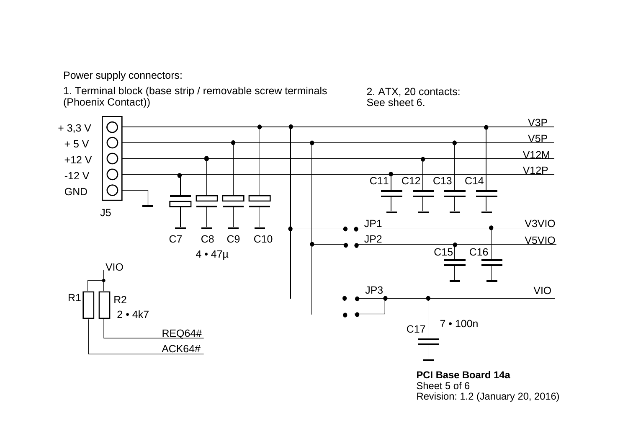Power supply connectors:

1. Terminal block (base strip / removable screw terminals (Phoenix Contact))

2. ATX, 20 contacts: See sheet 6.



**PCI Base Board 14a**Sheet 5 of 6 Revision: 1.2 (January 20, 2016)